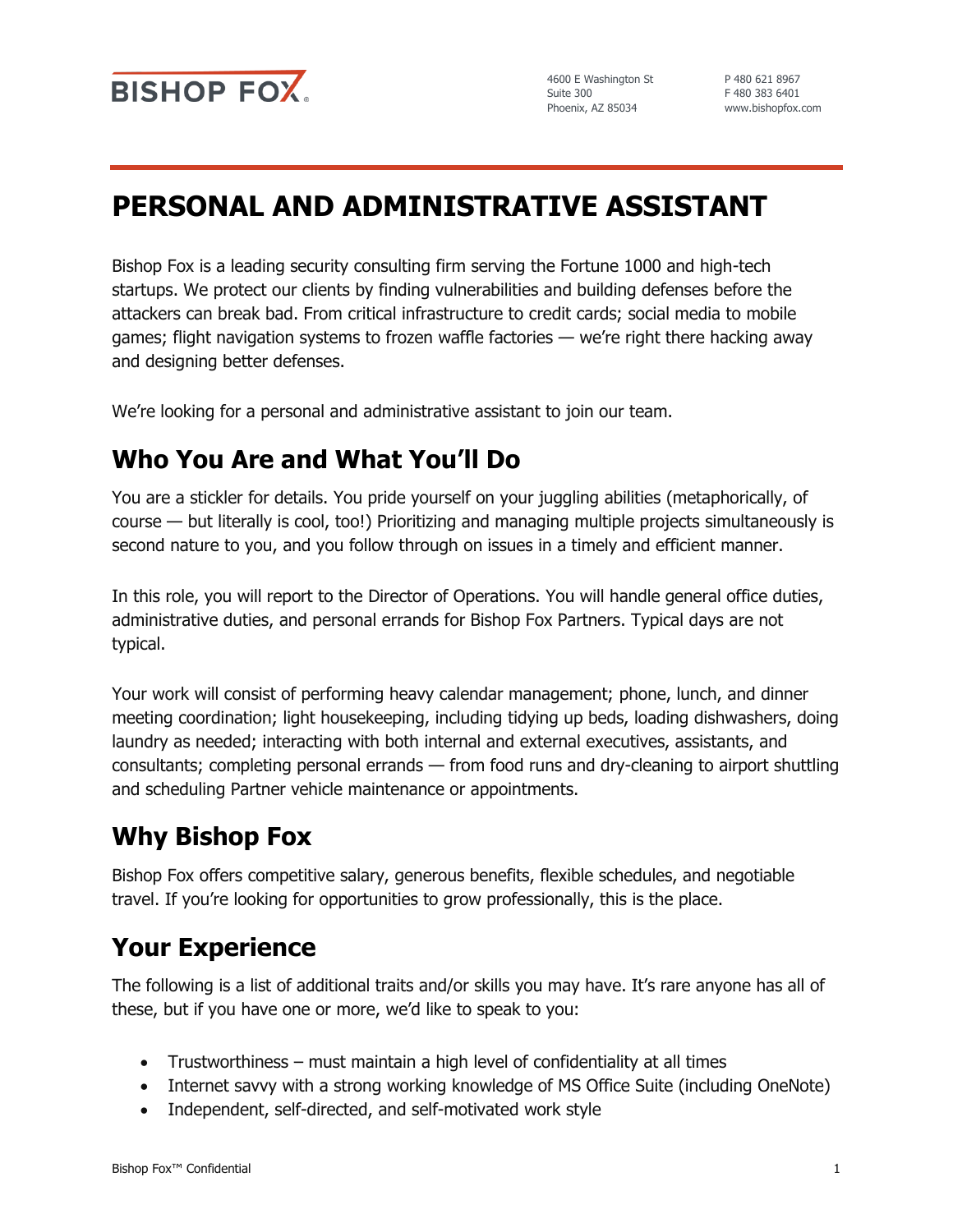

4600 E Washington St Suite 300 Phoenix, AZ 85034

P 480 621 8967 F 480 383 6401 www.bishopfox.com

# **PERSONAL AND ADMINISTRATIVE ASSISTANT**

Bishop Fox is a leading security consulting firm serving the Fortune 1000 and high-tech startups. We protect our clients by finding vulnerabilities and building defenses before the attackers can break bad. From critical infrastructure to credit cards; social media to mobile games; flight navigation systems to frozen waffle factories — we're right there hacking away and designing better defenses.

We're looking for a personal and administrative assistant to join our team.

### **Who You Are and What You'll Do**

You are a stickler for details. You pride yourself on your juggling abilities (metaphorically, of course — but literally is cool, too!) Prioritizing and managing multiple projects simultaneously is second nature to you, and you follow through on issues in a timely and efficient manner.

In this role, you will report to the Director of Operations. You will handle general office duties, administrative duties, and personal errands for Bishop Fox Partners. Typical days are not typical.

Your work will consist of performing heavy calendar management; phone, lunch, and dinner meeting coordination; light housekeeping, including tidying up beds, loading dishwashers, doing laundry as needed; interacting with both internal and external executives, assistants, and consultants; completing personal errands — from food runs and dry-cleaning to airport shuttling and scheduling Partner vehicle maintenance or appointments.

### **Why Bishop Fox**

Bishop Fox offers competitive salary, generous benefits, flexible schedules, and negotiable travel. If you're looking for opportunities to grow professionally, this is the place.

## **Your Experience**

The following is a list of additional traits and/or skills you may have. It's rare anyone has all of these, but if you have one or more, we'd like to speak to you:

- Trustworthiness must maintain a high level of confidentiality at all times
- Internet savvy with a strong working knowledge of MS Office Suite (including OneNote)
- Independent, self-directed, and self-motivated work style